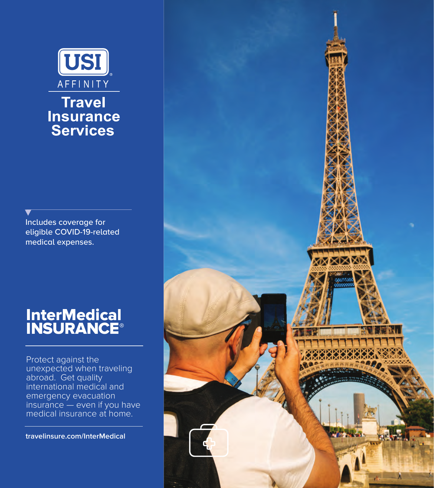

# **Travel Insurance Services**

Includes coverage for eligible COVID-19-related medical expenses.

# InterMedical **INSURANCE®**

Protect against the unexpected when traveling abroad. Get quality international medical and emergency evacuation insurance — even if you have medical insurance at home.

**travelinsure.com/InterMedical**

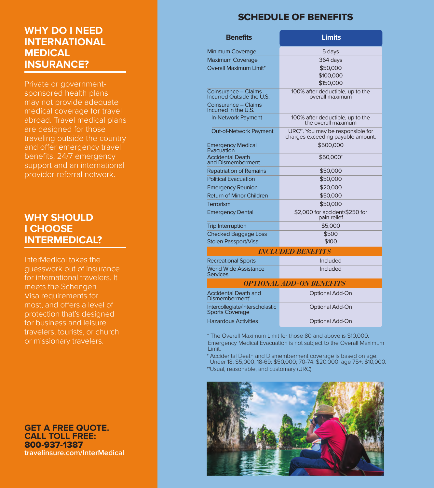# **WHY DO I NEED INTERNATIONAL MEDICAL INSURANCE?**

Private or governmentsponsored health plans may not provide adequate medical coverage for travel abroad. Travel medical plans are designed for those traveling outside the country and offer emergency travel benefits, 24/7 emergency support and an international provider-referral network.

## **WHY SHOULD I CHOOSE INTERMEDICAL?**

InterMedical takes the guesswork out of insurance for international travelers. It meets the Schengen Visa requirements for most, and offers a level of protection that's designed for business and leisure travelers, tourists, or church or missionary travelers.

**GET A FREE QUOTE. CALL TOLL FREE:** 800-937-1387 **travelinsure.com/InterMedical**

# SCHEDULE OF BENEFITS

| <b>Benefits</b>                                    | <b>Limits</b>                                                                       |
|----------------------------------------------------|-------------------------------------------------------------------------------------|
| <b>Minimum Coverage</b>                            | 5 days                                                                              |
| <b>Maximum Coverage</b>                            | 364 days                                                                            |
| Overall Maximum Limit*                             | \$50,000<br>\$100,000<br>\$150,000                                                  |
| Coinsurance - Claims<br>Incurred Outside the U.S.  | 100% after deductible, up to the<br>overall maximum                                 |
| Coinsurance - Claims<br>Incurred in the U.S.       |                                                                                     |
| In-Network Payment                                 | 100% after deductible, up to the<br>the overall maximum                             |
| Out-of-Network Payment                             | URC <sup>++</sup> . You may be responsible for<br>charges exceeding payable amount. |
| Emergency Medical<br>Evacuation                    | \$500,000                                                                           |
| <b>Accidental Death</b><br>and Dismemberment       | \$50,000 <sup>+</sup>                                                               |
| <b>Repatriation of Remains</b>                     | \$50,000                                                                            |
| <b>Political Evacuation</b>                        | \$50,000                                                                            |
| <b>Emergency Reunion</b>                           | \$20,000                                                                            |
| <b>Return of Minor Children</b>                    | \$50,000                                                                            |
| Terrorism                                          | \$50,000                                                                            |
| <b>Emergency Dental</b>                            | \$2,000 for accident/\$250 for<br>pain relief                                       |
| <b>Trip Interruption</b>                           | \$5,000                                                                             |
| <b>Checked Baggage Loss</b>                        | \$500                                                                               |
| Stolen Passport/Visa                               | \$100                                                                               |
|                                                    | <b>INCLUDED BENEFITS</b>                                                            |
| <b>Recreational Sports</b>                         | Included                                                                            |
| <b>World Wide Assistance</b><br><b>Services</b>    | Included                                                                            |
|                                                    | <b>OPTIONAL ADD-ON BENEFITS</b>                                                     |
| Accidental Death and<br>Dismemberment <sup>†</sup> | Optional Add-On                                                                     |
| Intercollegiate/Interscholastic<br>Sports Coverage | Optional Add-On                                                                     |
| <b>Hazardous Activities</b>                        | Optional Add-On                                                                     |

\* The Overall Maximum Limit for those 80 and above is \$10,000. Emergency Medical Evacuation is not subject to the Overall Maximum Limit.

† Accidental Death and Dismemberment coverage is based on age: Under 18: \$5,000; 18-69: \$50,000; 70-74: \$20,000; age 75+: \$10,000. ††Usual, reasonable, and customary (URC)

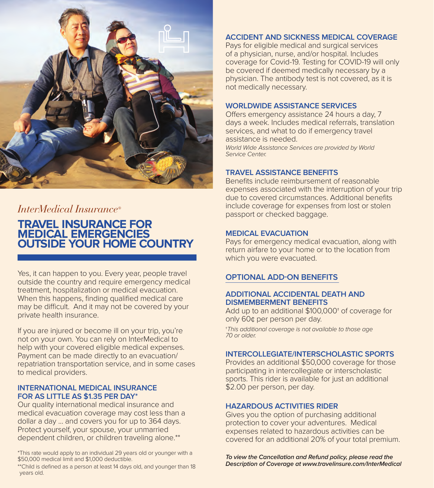

# *InterMedical Insurance®*

## **TRAVEL INSURANCE FOR MEDICAL EMERGENCIES OUTSIDE YOUR HOME COUNTRY**

Yes, it can happen to you. Every year, people travel outside the country and require emergency medical treatment, hospitalization or medical evacuation. When this happens, finding qualified medical care may be difficult. And it may not be covered by your private health insurance.

If you are injured or become ill on your trip, you're not on your own. You can rely on InterMedical to help with your covered eligible medical expenses. Payment can be made directly to an evacuation/ repatriation transportation service, and in some cases to medical providers.

#### **INTERNATIONAL MEDICAL INSURANCE FOR AS LITTLE AS \$1.35 PER DAY\***

Our quality international medical insurance and medical evacuation coverage may cost less than a dollar a day ... and covers you for up to 364 days. Protect yourself, your spouse, your unmarried dependent children, or children traveling alone.\*\*

\*This rate would apply to an individual 29 years old or younger with a \$50,000 medical limit and \$1,000 deductible.

\*\*Child is defined as a person at least 14 days old, and younger than 18 years old.

#### **ACCIDENT AND SICKNESS MEDICAL COVERAGE**

Pays for eligible medical and surgical services of a physician, nurse, and/or hospital. Includes coverage for Covid-19. Testing for COVID-19 will only be covered if deemed medically necessary by a physician. The antibody test is not covered, as it is not medically necessary.

#### **WORLDWIDE ASSISTANCE SERVICES**

Offers emergency assistance 24 hours a day, 7 days a week. Includes medical referrals, translation services, and what to do if emergency travel assistance is needed. *World Wide Assistance Services are provided by World*

*Service Center.*

#### **TRAVEL ASSISTANCE BENEFITS**

Benefits include reimbursement of reasonable expenses associated with the interruption of your trip due to covered circumstances. Additional benefits include coverage for expenses from lost or stolen passport or checked baggage.

#### **MEDICAL EVACUATION**

Pays for emergency medical evacuation, along with return airfare to your home or to the location from which you were evacuated.

#### **OPTIONAL ADD-ON BENEFITS**

#### **ADDITIONAL ACCIDENTAL DEATH AND DISMEMBERMENT BENEFITS**

Add up to an additional \$100,000† of coverage for only 60¢ per person per day.

†*This additional coverage is not available to those age 70 or older.* 

#### **INTERCOLLEGIATE/INTERSCHOLASTIC SPORTS**

Provides an additional \$50,000 coverage for those participating in intercollegiate or interscholastic sports. This rider is available for just an additional \$2.00 per person, per day.

#### **HAZARDOUS ACTIVITIES RIDER**

Gives you the option of purchasing additional protection to cover your adventures. Medical expenses related to hazardous activities can be covered for an additional 20% of your total premium.

*To view the Cancellation and Refund policy, please read the Description of Coverage at www.travelinsure.com/InterMedical*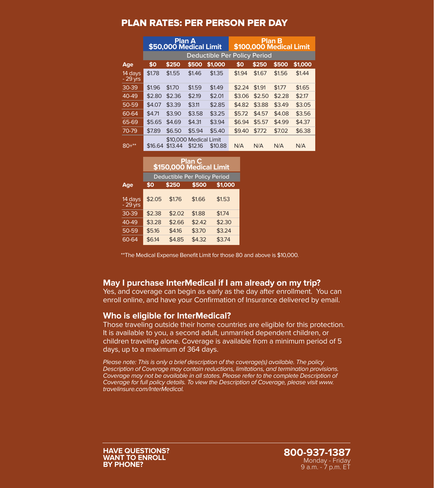### PLAN RATES: PER PERSON PER DAY

|                      |         | Plan A<br>\$50,000 Medical Limit  |         |                                     |        | \$100,000 Medical Limit | <b>Plan B</b> |         |
|----------------------|---------|-----------------------------------|---------|-------------------------------------|--------|-------------------------|---------------|---------|
|                      |         |                                   |         | <b>Deductible Per Policy Period</b> |        |                         |               |         |
| Age                  | \$0     | \$250                             | \$500   | \$1,000                             | \$0    | \$250                   | \$500         | \$1,000 |
| 14 days<br>$-29$ yrs | \$1.78  | \$1.55                            | \$1.46  | \$1.35                              | \$1.94 | \$1.67                  | \$1.56        | \$1.44  |
| 30-39                | \$1.96  | \$1.70                            | \$1.59  | \$1.49                              | \$2.24 | \$1.91                  | \$1.77        | \$1.65  |
| 40-49                | \$2.80  | \$2.36                            | \$2.19  | \$2.01                              | \$3.06 | \$2.50                  | \$2.28        | \$2.17  |
| 50-59                | \$4.07  | \$3.39                            | \$3.11  | \$2.85                              | \$4.82 | \$3.88                  | \$3.49        | \$3.05  |
| 60-64                | \$4.71  | \$3.90                            | \$3.58  | \$3.25                              | \$5.72 | \$4.57                  | \$4.08        | \$3.56  |
| 65-69                | \$5.65  | \$4.69                            | \$4.31  | \$3.94                              | \$6.94 | \$5.57                  | \$4.99        | \$4.37  |
| 70-79                | \$7.89  | \$6.50                            | \$5.94  | \$5.40                              | \$9.40 | \$7.72                  | \$7.02        | \$6.38  |
| $80+***$             | \$16.64 | \$10,000 Medical Limit<br>\$13.44 | \$12.16 | \$10.88                             | N/A    | N/A                     | N/A           | N/A     |
|                      |         |                                   |         |                                     |        |                         |               |         |

|                      | Plan C<br>\$150,000 Medical Limit   |        |        |         |  |  |  |  |  |
|----------------------|-------------------------------------|--------|--------|---------|--|--|--|--|--|
|                      | <b>Deductible Per Policy Period</b> |        |        |         |  |  |  |  |  |
| Age                  | \$0                                 | \$250  | \$500  | \$1.000 |  |  |  |  |  |
| 14 days<br>$-29$ yrs | \$2.05                              | \$1.76 | \$1.66 | \$1.53  |  |  |  |  |  |
| 30-39                | \$2.38                              | \$2.02 | \$1.88 | \$1.74  |  |  |  |  |  |
| 40-49                | \$3.28                              | \$2.66 | \$2.42 | \$2.30  |  |  |  |  |  |
| 50-59                | \$5.16                              | \$4.16 | \$3.70 | \$3.24  |  |  |  |  |  |
| 60-64                | \$6.14                              | \$4.85 | \$4.32 | \$3.74  |  |  |  |  |  |

\*\*The Medical Expense Benefit Limit for those 80 and above is \$10,000.

#### **May I purchase InterMedical if I am already on my trip?**

Yes, and coverage can begin as early as the day after enrollment. You can enroll online, and have your Confirmation of Insurance delivered by email.

#### **Who is eligible for InterMedical?**

Those traveling outside their home countries are eligible for this protection. It is available to you, a second adult, unmarried dependent children, or children traveling alone. Coverage is available from a minimum period of 5 days, up to a maximum of 364 days.

*Please note: This is only a brief description of the coverage(s) available. The policy Description of Coverage may contain reductions, limitations, and termination provisions.*  Coverage may not be available in all states. Please refer to the complete Description of *Coverage for full policy details. To view the Description of Coverage, please visit www. travelinsure.com/InterMedical.*

**HAVE QUESTIONS? WANT TO ENROLL BY PHONE?**